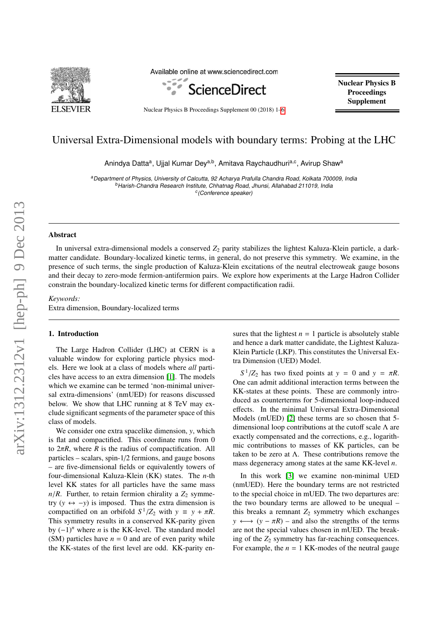

Available online at www.sciencedirect.com



Nuclear Physics B Proceedings Supplement 00 (2018) 1[–6](#page-5-0)

Nuclear Physics B **Proceedings** Supplement

## Universal Extra-Dimensional models with boundary terms: Probing at the LHC

Anindya Datta<sup>a</sup>, Ujjal Kumar Dey<sup>a,b</sup>, Amitava Raychaudhuri<sup>a,c</sup>, Avirup Shaw<sup>a</sup>

aDepartment of Physics, University of Calcutta, 92 Acharya Prafulla Chandra Road, Kolkata 700009, India <sup>b</sup>Harish-Chandra Research Institute, Chhatnag Road, Jhunsi, Allahabad 211019, India <sup>c</sup>(Conference speaker)

### Abstract

In universal extra-dimensional models a conserved  $Z_2$  parity stabilizes the lightest Kaluza-Klein particle, a darkmatter candidate. Boundary-localized kinetic terms, in general, do not preserve this symmetry. We examine, in the presence of such terms, the single production of Kaluza-Klein excitations of the neutral electroweak gauge bosons and their decay to zero-mode fermion-antifermion pairs. We explore how experiments at the Large Hadron Collider constrain the boundary-localized kinetic terms for different compactification radii.

#### *Keywords:*

Extra dimension, Boundary-localized terms

### 1. Introduction

The Large Hadron Collider (LHC) at CERN is a valuable window for exploring particle physics models. Here we look at a class of models where *all* particles have access to an extra dimension [\[1\]](#page-5-1). The models which we examine can be termed 'non-minimal universal extra-dimensions' (nmUED) for reasons discussed below. We show that LHC running at 8 TeV may exclude significant segments of the parameter space of this class of models.

We consider one extra spacelike dimension, *y*, which is flat and compactified. This coordinate runs from 0 to  $2\pi R$ , where *R* is the radius of compactification. All particles – scalars, spin-1/2 fermions, and gauge bosons – are five-dimensional fields or equivalently towers of four-dimensional Kaluza-Klein (KK) states. The *n*-th level KK states for all particles have the same mass  $n/R$ . Further, to retain fermion chirality a  $Z_2$  symmetry  $(y \leftrightarrow -y)$  is imposed. Thus the extra dimension is compactified on an orbifold  $S^1/Z_2$  with  $y \equiv y + \pi R$ .<br>This symmetry results in a conserved KK-parity given This symmetry results in a conserved KK-parity given by (−1)*<sup>n</sup>* where *n* is the KK-level. The standard model (SM) particles have  $n = 0$  and are of even parity while the KK-states of the first level are odd. KK-parity ensures that the lightest  $n = 1$  particle is absolutely stable and hence a dark matter candidate, the Lightest Kaluza-Klein Particle (LKP). This constitutes the Universal Extra Dimension (UED) Model.

 $S^1/Z_2$  has two fixed points at  $y = 0$  and  $y = \pi R$ . One can admit additional interaction terms between the KK-states at these points. These are commonly introduced as counterterms for 5-dimensional loop-induced effects. In the minimal Universal Extra-Dimensional Models (mUED) [\[2\]](#page-5-2) these terms are so chosen that 5 dimensional loop contributions at the cutoff scale Λ are exactly compensated and the corrections, e.g., logarithmic contributions to masses of KK particles, can be taken to be zero at  $\Lambda$ . These contributions remove the mass degeneracy among states at the same KK-level *n*.

In this work [\[3\]](#page-5-3) we examine non-minimal UED (nmUED). Here the boundary terms are not restricted to the special choice in mUED. The two departures are: the two boundary terms are allowed to be unequal – this breaks a remnant  $Z_2$  symmetry which exchanges  $y \leftrightarrow (y - \pi R)$  – and also the strengths of the terms are not the special values chosen in mUED. The breaking of the  $Z_2$  symmetry has far-reaching consequences. For example, the  $n = 1$  KK-modes of the neutral gauge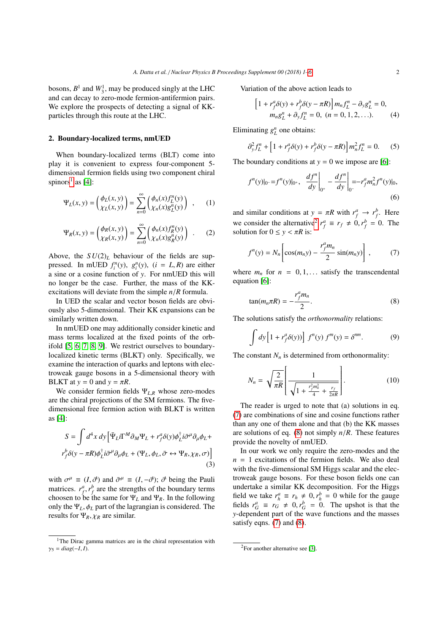bosons,  $B^1$  and  $W_3^1$ , may be produced singly at the LHC and can decay to zero-mode fermion-antifermion pairs. We explore the prospects of detecting a signal of KKparticles through this route at the LHC.

#### 2. Boundary-localized terms, nmUED

When boundary-localized terms (BLT) come into play it is convenient to express four-component 5 dimensional fermion fields using two component chiral spinors<sup>[1](#page-1-0)</sup> as [\[4\]](#page-5-4):

$$
\Psi_L(x, y) = \begin{pmatrix} \phi_L(x, y) \\ \chi_L(x, y) \end{pmatrix} = \sum_{n=0}^{\infty} \begin{pmatrix} \phi_n(x) f^n_L(y) \\ \chi_n(x) g^n_L(y) \end{pmatrix} , \quad (1)
$$

$$
\Psi_R(x, y) = \begin{pmatrix} \phi_R(x, y) \\ \chi_R(x, y) \end{pmatrix} = \sum_{n=0}^{\infty} \begin{pmatrix} \phi_n(x) f_R^n(y) \\ \chi_n(x) g_R^n(y) \end{pmatrix} .
$$
 (2)

Above, the  $SU(2)_L$  behaviour of the fields are suppressed. In mUED  $f_i^n(y)$ ,  $g_i^n(y)$ ,  $(i = L, R)$  are either a sine or a cosine function of *y*. For nmUED this will no longer be the case. Further, the mass of the KKexcitations will deviate from the simple *<sup>n</sup>*/*<sup>R</sup>* formula.

In UED the scalar and vector boson fields are obviously also 5-dimensional. Their KK expansions can be similarly written down.

In nmUED one may additionally consider kinetic and mass terms localized at the fixed points of the orbifold [\[5,](#page-5-5) [6,](#page-5-6) [7,](#page-5-7) [8,](#page-5-8) [9\]](#page-5-9). We restrict ourselves to boundarylocalized kinetic terms (BLKT) only. Specifically, we examine the interaction of quarks and leptons with electroweak gauge bosons in a 5-dimensional theory with BLKT at  $y = 0$  and  $y = \pi R$ .

We consider fermion fields <sup>Ψ</sup>*<sup>L</sup>*,*<sup>R</sup>* whose zero-modes are the chiral projections of the SM fermions. The fivedimensional free fermion action with BLKT is written as [\[4\]](#page-5-4):

$$
S = \int d^4x \, dy \left[ \bar{\Psi}_L i \Gamma^M \partial_M \Psi_L + r_f^a \delta(y) \phi_L^{\dagger} i \bar{\sigma}^\mu \partial_\mu \phi_L + r_f^b \delta(y - \pi R) \phi_L^{\dagger} i \bar{\sigma}^\mu \partial_\mu \phi_L + (\Psi_L, \phi_L, \bar{\sigma} \leftrightarrow \Psi_R, \chi_R, \sigma) \right]
$$
\n(3)

with  $\sigma^{\mu} \equiv (I, \vec{\sigma})$  and  $\bar{\sigma}^{\mu} \equiv (I, -\vec{\sigma})$ ;  $\vec{\sigma}$  being the Pauli<br>matrices  $r^{\mu} r^{\nu}$  are the strengths of the boundary terms matrices.  $r_f^a$ ,  $r_f^b$  are the strengths of the boundary terms<br>choosen to be the same for  $\Psi$ , and  $\Psi$ . In the following choosen to be the same for  $\Psi_L$  and  $\Psi_R$ . In the following only the  $\Psi_L$ ,  $\phi_L$  part of the lagrangian is considered. The results for  $\Psi_R$ ,  $\chi_R$  are similar.

Variation of the above action leads to

$$
\[1 + r_f^a \delta(y) + r_f^b \delta(y - \pi R)\] m_n f_L^n - \partial_y g_L^n = 0, m_n g_L^n + \partial_y f_L^n = 0, (n = 0, 1, 2, ...).
$$
 (4)

Eliminating  $g_L^n$  one obtains:

$$
\partial_y^2 f_L^n + \left[1 + r_f^a \delta(y) + r_f^b \delta(y - \pi R)\right] m_n^2 f_L^n = 0.
$$
 (5)

The boundary conditions at  $y = 0$  we impose are [\[6\]](#page-5-6):

$$
f^{n}(y)|_{0^{-}} = f^{n}(y)|_{0^{+}}, \frac{df^{n}}{dy}\bigg|_{0^{+}} - \frac{df^{n}}{dy}\bigg|_{0^{-}} = -r_{f}^{a}m_{n}^{2}f^{n}(y)|_{0},\tag{6}
$$

and similar conditions at  $y = \pi R$  with  $r_f^a \rightarrow r_f^b$ . Here we consider the alternative<sup>[2](#page-1-1)</sup>  $r_f^a \equiv r_f \neq 0, r_f^b = 0$ . The solution for  $0 \le y \le \pi R$  is: solution for  $0 \le y < \pi R$  is:

<span id="page-1-2"></span>
$$
f^{n}(y) = N_{n} \left[ \cos(m_{n}y) - \frac{r_{f}^{a}m_{n}}{2} \sin(m_{n}y) \right],
$$
 (7)

where  $m_n$  for  $n = 0, 1, \ldots$  satisfy the transcendental equation [\[6\]](#page-5-6):

<span id="page-1-3"></span>
$$
\tan(m_n \pi R) = -\frac{r_f^a m_n}{2}.
$$
 (8)

The solutions satisfy the *orthonormality* relations:

$$
\int dy \left[1 + r_f^a \delta(y)\right] f^n(y) f^m(y) = \delta^{nm}.
$$
 (9)

The constant  $N_n$  is determined from orthonormality:

$$
N_n = \sqrt{\frac{2}{\pi R}} \left[ \frac{1}{\sqrt{1 + \frac{r_j^2 m_n^2}{4} + \frac{r_f}{2\pi R}}} \right].
$$
 (10)

The reader is urged to note that (a) solutions in eq. [\(7\)](#page-1-2) are combinations of sine and cosine functions rather than any one of them alone and that (b) the KK masses are solutions of eq. [\(8\)](#page-1-3) not simply *<sup>n</sup>*/*R*. These features provide the novelty of nmUED.

In our work we only require the zero-modes and the  $n = 1$  excitations of the fermion fields. We also deal with the five-dimensional SM Higgs scalar and the electroweak gauge bosons. For these boson fields one can undertake a similar KK decomposition. For the Higgs field we take  $r_h^a \equiv r_h \neq 0$ ,  $r_h^b = 0$  while for the gauge<br>fields  $r^a = r_a \neq 0$ ,  $r^b = 0$ . The unshot is that the fields  $r_G^a \equiv r_G^a \neq 0$ ,  $r_G^b = 0$ . The upshot is that the value of the wave functions and the masses *y*-dependent part of the wave functions and the masses satisfy eqns. [\(7\)](#page-1-2) and [\(8\)](#page-1-3).

<span id="page-1-0"></span><sup>&</sup>lt;sup>1</sup>The Dirac gamma matrices are in the chiral representation with  $\gamma_5 = diag(-I, I).$ 

<span id="page-1-1"></span><sup>&</sup>lt;sup>2</sup>For another alternative see [\[3\]](#page-5-3).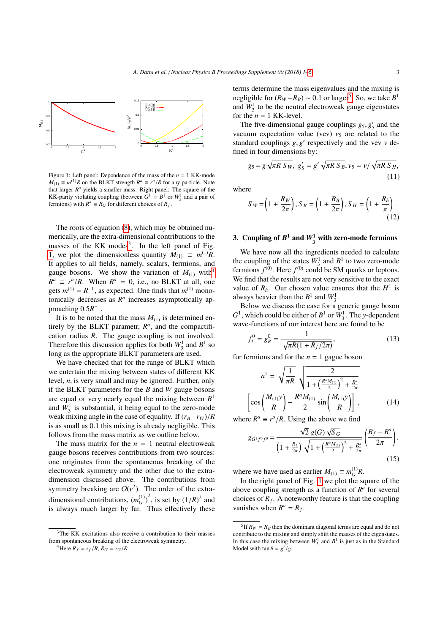

<span id="page-2-1"></span>Figure 1: Left panel: Dependence of the mass of the *n* = 1 KK-mode  $M_{(1)} \equiv m^{(1)}R$  on the BLKT strength  $R^a \equiv r^a/R$  for any particle. Note that larger  $R^a$  vields a smaller mass. Bight panel: The square of the that larger  $R^a$  yields a smaller mass. Right panel: The square of the KK-parity violating coupling (between  $G^1 \equiv B^1$  or  $W_3^1$  and a pair of fermions) with  $R^a \equiv R_G$  for different choices of  $R_f$ .

The roots of equation [\(8\)](#page-1-3), which may be obtained numerically, are the extra-dimensional contributions to the masses of the KK modes<sup>[3](#page-2-0)</sup>. In the left panel of Fig. [1,](#page-2-1) we plot the dimensionless quantity  $M_{(1)} \equiv m^{(1)}R$ . It applies to all fields, namely, scalars, fermions, and gauge bosons. We show the variation of  $M_{(1)}$  with<sup>[4](#page-2-2)</sup>  $R^a \equiv r^a/R$ . When  $R^a = 0$ , i.e., no BLKT at all, one gets  $m^{(1)} - R^{-1}$  as expected. One finds that  $m^{(1)}$  monogets  $m^{(1)} = R^{-1}$ , as expected. One finds that  $m^{(1)}$  monotonically decreases as  $R^a$  increases asymptotically approaching  $0.5R^{-1}$ .

It is to be noted that the mass  $M_{(1)}$  is determined entirely by the BLKT parametr,  $R^a$ , and the compactification radius *R*. The gauge coupling is not involved. Therefore this discussion applies for both  $W_3^1$  and  $B^1$  so long as the appropriate BLKT parameters are used.

We have checked that for the range of BLKT which we entertain the mixing between states of different KK level, *n*, is very small and may be ignored. Further, only if the BLKT parameters for the *B* and *W* gauge bosons are equal or very nearly equal the mixing between *B* 1 and  $W_3^1$  is substantial, it being equal to the zero-mode weak mixing angle in the case of equality. If  $(r_B - r_W)/R$ is as small as 0.1 this mixing is already negligible. This follows from the mass matrix as we outline below.

The mass matrix for the  $n = 1$  neutral electroweak gauge bosons receives contributions from two sources: one originates from the spontaneous breaking of the electroweak symmetry and the other due to the extradimension discussed above. The contributions from symmetry breaking are  $O(v^2)$ . The order of the extradimensional contributions,  $(m_G^{(1)})^2$ , is set by  $(1/R)^2$  and<br>is always much larger by far. Thus effectively these is always much larger by far. Thus effectively these terms determine the mass eigenvalues and the mixing is negligible for  $(R_W - R_B) \sim 0.1$  or larger<sup>[5](#page-2-3)</sup>. So, we take  $B^1$ <br>and  $W^1$  to be the neutral electroweak gauge eigenstates and  $W_3^1$  to be the neutral electroweak gauge eigenstates for the  $n = 1$  KK-level.

The five-dimensional gauge couplings  $g_5$ ,  $g'_5$  and the cuum expectation value (yey)  $y_5$  are related to the vacuum expectation value (vev)  $v_5$  are related to the standard couplings  $g, g'$  respectively and the vev *v* defined in four dimensions by: fined in four dimensions by:

$$
g_5 = g \sqrt{\pi R \, S_W}, \ g_5' = g' \sqrt{\pi R \, S_B}, \nu_5 = \nu / \sqrt{\pi R \, S_H}, \tag{11}
$$

where

$$
S_W = \left(1 + \frac{R_W}{2\pi}\right), S_B = \left(1 + \frac{R_B}{2\pi}\right), S_H = \left(1 + \frac{R_h}{\pi}\right). \tag{12}
$$

# 3. Coupling of  $B^1$  and  $W_3^1$  with zero-mode fermions

We have now all the ingredients needed to calculate the coupling of the states  $W_3^1$  and  $B^1$  to two zero-mode fermions  $f^{(0)}$ . Here  $f^{(0)}$  could be SM quarks or leptons. We find that the results are not very sensitive to the exact value of  $R_h$ . Our chosen value ensures that the  $H^1$  is always heavier than the  $B^1$  and  $W_3^1$ .

Below we discuss the case for a generic gauge boson  $G<sup>1</sup>$ , which could be either of  $B<sup>1</sup>$  or  $W<sub>3</sub><sup>1</sup>$ . The *y*-dependent wave-functions of our interest here are found to be

$$
f_L^0 = g_R^0 = \frac{1}{\sqrt{\pi R (1 + R_f / 2\pi)}},\tag{13}
$$

for fermions and for the  $n = 1$  gague boson

$$
a^{1} = \sqrt{\frac{1}{\pi R}} \sqrt{\frac{2}{1 + \left(\frac{R^a M_{(1)}}{2}\right)^2 + \frac{R^a}{2\pi}}}
$$

$$
\left[\cos\left(\frac{M_{(1)}y}{R}\right) - \frac{R^a M_{(1)}}{2} \sin\left(\frac{M_{(1)}y}{R}\right)\right],
$$
(14)

where  $R^a \equiv r^a/R$ . Using the above we find

<span id="page-2-4"></span>
$$
g_{G^1 f^0 f^0} = \frac{\sqrt{2} g(G) \sqrt{S_G}}{\left(1 + \frac{R_f}{2\pi}\right) \sqrt{1 + \left(\frac{R^a M_{(1)}}{2}\right)^2 + \frac{R^a}{2\pi}}} \left(\frac{R_f - R^a}{2\pi}\right).
$$
\n(15)

where we have used as earlier  $M_{(1)} \equiv m_G^{(1)}R$ .

In the right panel of Fig. [1](#page-2-1) we plot the square of the above coupling strength as a function of  $R^a$  for several choices of  $R_f$ . A noteworthy feature is that the coupling vanishes when  $R^a = R_f$ .

<span id="page-2-0"></span><sup>3</sup>The KK excitations also receive a contribution to their masses from spontaneous breaking of the electroweak symmetry.

<span id="page-2-2"></span><sup>&</sup>lt;sup>4</sup>Here  $R_f = r_f/R$ ,  $R_G = r_G/R$ .

<span id="page-2-3"></span><sup>&</sup>lt;sup>5</sup> If  $R_W = R_B$  then the dominant diagonal terms are equal and do not contribute to the mixing and simply shift the masses of the eigenstates. In this case the mixing between  $W_3^1$  and  $B^1$  is just as in the Standard Model with  $\tan \theta = g'/g$ .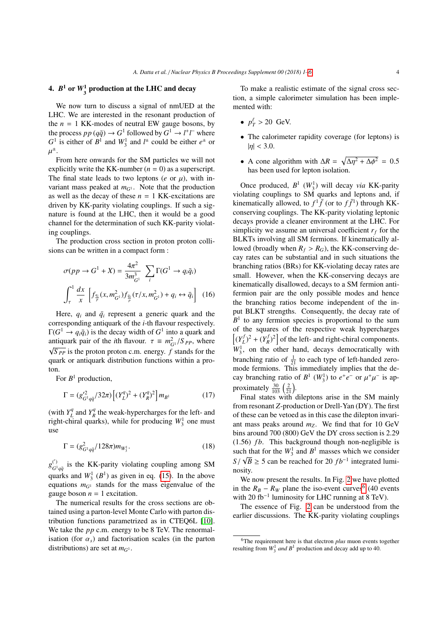# 4.  $B^1$  or  $W_3^1$  production at the LHC and decay

We now turn to discuss a signal of nmUED at the LHC. We are interested in the resonant production of the  $n = 1$  KK-modes of neutral EW gauge bosons, by the process  $pp (q\bar{q}) \rightarrow G^1$  followed by  $G^1 \rightarrow l^+l^-$  where  $G^1$  is either of  $B^1$  and  $W_3^1$  and  $l^{\pm}$  could be either  $e^{\pm}$  or ± .

 $\mathbf{r}$ From here onwards for the SM particles we will not explicitly write the KK-number  $(n = 0)$  as a superscript. The final state leads to two leptons ( $e$  or  $\mu$ ), with invariant mass peaked at  $m_{G<sup>1</sup>}$ . Note that the production as well as the decay of these  $n = 1$  KK-excitations are driven by KK-parity violating couplings. If such a signature is found at the LHC, then it would be a good channel for the determination of such KK-parity violating couplings.

The production cross section in proton proton collisions can be written in a compact form :

$$
\sigma(pp \to G^1 + X) = \frac{4\pi^2}{3m_{G^1}^3} \sum_{i} \Gamma(G^1 \to q_i \bar{q}_i)
$$
  

$$
\int_{\tau}^{1} \frac{dx}{x} \left[ f_{\frac{q_i}{p}}(x, m_{G^1}^2) f_{\frac{\bar{q}_i}{p}}(\tau/x, m_{G^1}^2) + q_i \leftrightarrow \bar{q}_i \right] (16)
$$

Here,  $q_i$  and  $\bar{q}_i$  represent a generic quark and the corresponding antiquark of the *i*-th flavour respectively.  $\Gamma(G^1 \to q_i \bar{q}_i)$  is the decay width of  $G^1$  into a quark and antiquark pair of the *i*th flavour.  $\tau \equiv m_{G_1}^2 / S_{PP}$ , where  $\sqrt{S_{PP}}$  is the proton proton c.m. energy. *f* stands for the quark or antiquark distribution functions within a proton.

For  $B^1$  production,

$$
\Gamma = (g_{G^1 q \bar{q}}^{\prime 2} / 32\pi) \left[ (Y_L^q)^2 + (Y_R^q)^2 \right] m_{B^1}
$$
 (17)

(with  $Y_L^q$  $L^q$  and  $Y_R^q$  $R_R^q$  the weak-hypercharges for the left- and right-chiral quarks), while for producing  $W_3^1$  one must use

$$
\Gamma = (g_{G^1 q \bar{q}}^2 / 128\pi) m_{W_3^1}.
$$
\n(18)

 $g_{c1}^{(')}$  $G_{q\bar{q}}^{(1)}$  is the KK-parity violating coupling among SM quarks and  $W_3^1$  ( $B^1$ ) as given in eq. [\(15\)](#page-2-4). In the above equations  $m_{G<sup>1</sup>}$  stands for the mass eigenvalue of the gauge boson  $n = 1$  excitation.

The numerical results for the cross sections are obtained using a parton-level Monte Carlo with parton distribution functions parametrized as in CTEQ6L [\[10\]](#page-5-10). We take the *pp* c.m. energy to be 8 TeV. The renormalisation (for  $\alpha_s$ ) and factorisation scales (in the parton distributions) are set at *mG*<sup>1</sup> .

To make a realistic estimate of the signal cross section, a simple calorimeter simulation has been implemented with:

- $p_T^{\ell} > 20$  GeV.
- The calorimeter rapidity coverage (for leptons) is  $|\eta|$  < 3.0.
- A cone algorithm with  $\Delta R = \sqrt{\Delta \eta^2 + \Delta \phi^2} = 0.5$ <br>has been used for lenton isolation has been used for lepton isolation.

Once produced,  $B^1$  ( $W_3^1$ ) will decay *via* KK-parity violating couplings to SM quarks and leptons and, if kinematically allowed, to  $f^1 \bar{f}$  (or to  $f \bar{f}^1$ ) through KKconserving couplings. The KK-parity violating leptonic decays provide a cleaner environment at the LHC. For simplicity we assume an universal coefficient  $r_f$  for the BLKTs involving all SM fermions. If kinematically allowed (broadly when  $R_f > R_G$ ), the KK-conserving decay rates can be substantial and in such situations the branching ratios (BRs) for KK-violating decay rates are small. However, when the KK-conserving decays are kinematically disallowed, decays to a SM fermion antifermion pair are the only possible modes and hence the branching ratios become independent of the input BLKT strengths. Consequently, the decay rate of  $B<sup>1</sup>$  to any fermion species is proportional to the sum of the squares of the respective weak hypercharges  $\left[ (Y_t^j\right]$  $(L^{f})^{2} + (Y^{f}_{R})^{2}$  $\binom{f}{R}^2$  of the left- and right-chiral components.  $W_3^1$ , on the other hand, decays democratically with branching ratio of  $\frac{1}{21}$  to each type of left-handed zeromode fermions. This immediately implies that the decay branching ratio of  $B^1$  ( $W_3^1$ ) to  $e^+e^-$  or  $\mu^+$  $\mathbf{r}$ − is approximately  $\frac{30}{103} \left( \frac{2}{21} \right)$ .

Final states with dileptons arise in the SM mainly from resonant *Z*-production or Drell-Yan (DY). The first of these can be vetoed as in this case the dilepton invariant mass peaks around  $m_Z$ . We find that for 10 GeV bins around 700 (800) GeV the DY cross section is 2.29  $(1.56)$  *fb*. This background though non-negligible is such that for the  $W_3^1$  and  $B^1$  masses which we consider  $S/\sqrt{B} \ge 5$  can be reached for 20  $fb^{-1}$  integrated luminosity nosity.

We now present the results. In Fig. [2](#page-4-0) we have plotted in the  $R_B - R_W$  plane the iso-event curves<sup>[6](#page-3-0)</sup> (40 events with 20 fb<sup>-1</sup> luminosity for LHC running at 8 TeV).

The essence of Fig. [2](#page-4-0) can be understood from the earlier discussions. The KK-parity violating couplings

<span id="page-3-0"></span><sup>6</sup>The requirement here is that electron *plus* muon events together resulting from  $W_3^1$  *and*  $B^1$  production and decay add up to 40.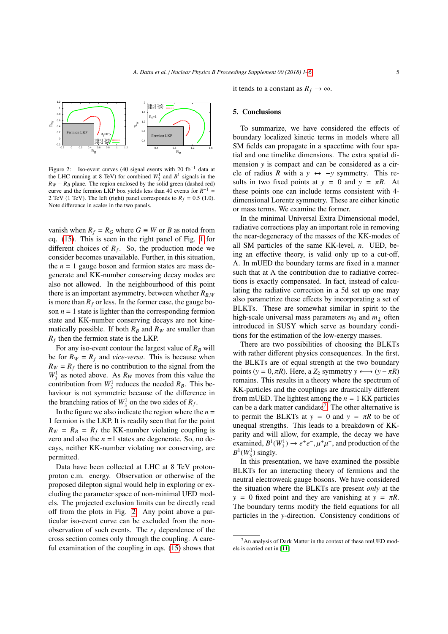

<span id="page-4-0"></span>Figure 2: Iso-event curves (40 signal events with 20 fb<sup>-1</sup> data at the LHC running at 8 TeV) for combined  $W_3^1$  and  $B^1$  signals in the  $R_W - R_B$  plane. The region enclosed by the solid green (dashed red) curve and the fermion LKP box yields less than 40 events for  $R^{-1}$  = 2 TeV (1 TeV). The left (right) panel corresponds to  $R_f = 0.5$  (1.0). Note difference in scales in the two panels.

vanish when  $R_f = R_G$  where  $G \equiv W$  or *B* as noted from eq. [\(15\)](#page-2-4). This is seen in the right panel of Fig. [1](#page-2-1) for different choices of  $R_f$ . So, the production mode we consider becomes unavailable. Further, in this situation, the  $n = 1$  gauge boson and fermion states are mass degenerate and KK-number conserving decay modes are also not allowed. In the neighbourhood of this point there is an important asymmetry, between whether  $R_{BW}$ is more than  $R_f$  or less. In the former case, the gauge boson  $n = 1$  state is lighter than the corresponding fermion state and KK-number conserving decays are not kinematically possible. If both  $R_B$  and  $R_W$  are smaller than  $R_f$  then the fermion state is the LKP.

For any iso-event contour the largest value of  $R_B$  will be for  $R_W = R_f$  and *vice-versa*. This is because when  $R_W = R_f$  there is no contribution to the signal from the  $W_3^1$  as noted above. As  $R_W$  moves from this value the contribution from  $W_3^1$  reduces the needed  $R_B$ . This behaviour is not symmetric because of the difference in the branching ratios of  $W_3^1$  on the two sides of  $R_f$ .

In the figure we also indicate the region where the  $n =$ 1 fermion is the LKP. It is readily seen that for the point  $R_W = R_B = R_f$  the KK-number violating coupling is zero and also the  $n = 1$  states are degenerate. So, no decays, neither KK-number violating nor conserving, are permitted.

Data have been collected at LHC at 8 TeV protonproton c.m. energy. Observation or otherwise of the proposed dilepton signal would help in exploring or excluding the parameter space of non-minimal UED models. The projected exclusion limits can be directly read off from the plots in Fig. [2.](#page-4-0) Any point above a particular iso-event curve can be excluded from the nonobservation of such events. The *r<sup>f</sup>* dependence of the cross section comes only through the coupling. A careful examination of the coupling in eqs. [\(15\)](#page-2-4) shows that it tends to a constant as  $R_f \rightarrow \infty$ .

#### 5. Conclusions

To summarize, we have considered the effects of boundary localized kinetic terms in models where all SM fields can propagate in a spacetime with four spatial and one timelike dimensions. The extra spatial dimension *y* is compact and can be considered as a circle of radius *R* with a  $y \leftrightarrow -y$  symmetry. This results in two fixed points at  $y = 0$  and  $y = \pi R$ . At these points one can include terms consistent with 4 dimensional Lorentz symmetry. These are either kinetic or mass terms. We examine the former.

In the minimal Universal Extra Dimensional model, radiative corrections play an important role in removing the near-degeneracy of the masses of the KK-modes of all SM particles of the same KK-level, *n*. UED, being an effective theory, is valid only up to a cut-off, Λ. In mUED the boundary terms are fixed in a manner such that at  $\Lambda$  the contribution due to radiative corrections is exactly compensated. In fact, instead of calculating the radiative correction in a 5d set up one may also parametrize these effects by incorporating a set of BLKTs. These are somewhat similar in spirit to the high-scale universal mass parameters  $m_0$  and  $m_{\frac{1}{2}}$  often introduced in SUSY which serve as boundary conditions for the estimation of the low-energy masses.

There are two possibilities of choosing the BLKTs with rather different physics consequences. In the first, the BLKTs are of equal strength at the two boundary points ( $y = 0, \pi R$ ). Here, a  $Z_2$  symmetry  $y \leftrightarrow (y - \pi R)$ remains. This results in a theory where the spectrum of KK-particles and the couplings are drastically different from mUED. The lightest among the  $n = 1$  KK particles can be a dark matter candidate<sup>[7](#page-4-1)</sup>. The other alternative is to permit the BLKTs at  $y = 0$  and  $y = \pi R$  to be of unequal strengths. This leads to a breakdown of KKparity and will allow, for example, the decay we have examined,  $B^1(W_3^1) \to e^+e^-$ ,  $\mu^+\mu^-$ , and production of the  $B^1(W_1^1)$  singly  $B^1(W_3^1)$  singly.

In this presentation, we have examined the possible BLKTs for an interacting theory of fermions and the neutral electroweak gauge bosons. We have considered the situation where the BLKTs are present *only* at the *y* = 0 fixed point and they are vanishing at  $y = \pi R$ . The boundary terms modify the field equations for all particles in the *y*-direction. Consistency conditions of

<span id="page-4-1"></span><sup>7</sup>An analysis of Dark Matter in the context of these nmUED models is carried out in [\[11\]](#page-5-11)